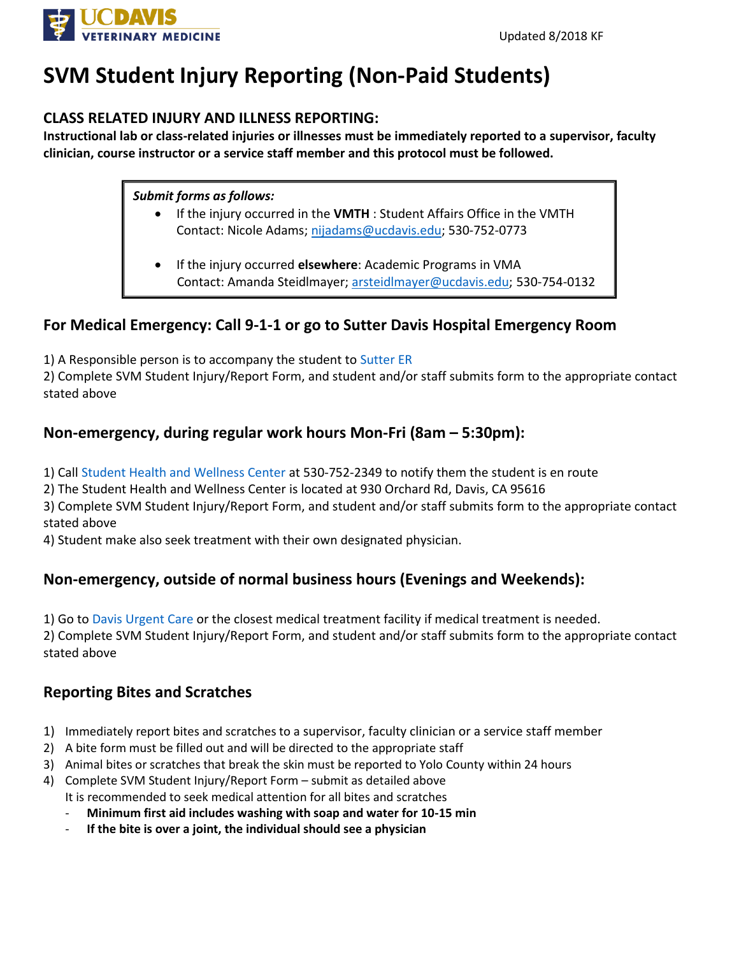

## **SVM Student Injury Reporting (Non-Paid Students)**

#### **CLASS RELATED INJURY AND ILLNESS REPORTING:**

**Instructional lab or class-related injuries or illnesses must be immediately reported to a supervisor, faculty clinician, course instructor or a service staff member and this protocol must be followed.** 

#### *Submit forms as follows:*

- If the injury occurred in the **VMTH** : Student Affairs Office in the VMTH Contact: Nicole Adams; [nijadams@ucdavis.edu;](mailto:nijadams@ucdavis.edu) 530-752-0773
- If the injury occurred **elsewhere**: Academic Programs in VMA Contact: Amanda Steidlmayer; [arsteidlmayer@ucdavis.edu;](mailto:arsteidlmayer@ucdavis.edu) 530-754-0132

### **For Medical Emergency: Call 9-1-1 or go to Sutter Davis Hospital Emergency Room**

1) A Responsible person is to accompany the student to [Sutter ER](https://www.sutterhealth.org/find-location/facility/sutter-davis-hospital)

2) Complete SVM Student Injury/Report Form, and student and/or staff submits form to the appropriate contact stated above

### **Non-emergency, during regular work hours Mon-Fri (8am - 5:30pm):**

1) Call [Student Health and Wellness Center](https://shcs.ucdavis.edu/) at 530-752-2349 to notify them the student is en route

2) The Student Health and Wellness Center is located at 930 Orchard Rd, Davis, CA 95616

3) Complete SVM Student Injury/Report Form, and student and/or staff submits form to the appropriate contact stated above

4) Student make also seek treatment with their own designated physician.

### **Non-emergency, outside of normal business hours (Evenings and Weekends):**

1) Go to [Davis Urgent Care](http://davisurgentcare.com/) or the closest medical treatment facility if medical treatment is needed. 2) Complete SVM Student Injury/Report Form, and student and/or staff submits form to the appropriate contact stated above

### **Reporting Bites and Scratches**

- 1) Immediately report bites and scratches to a supervisor, faculty clinician or a service staff member
- 2) A bite form must be filled out and will be directed to the appropriate staff
- 3) Animal bites or scratches that break the skin must be reported to Yolo County within 24 hours
- 4) Complete SVM Student Injury/Report Form submit as detailed above It is recommended to seek medical attention for all bites and scratches
	- **Minimum first aid includes washing with soap and water for 10-15 min**
	- If the bite is over a joint, the individual should see a physician